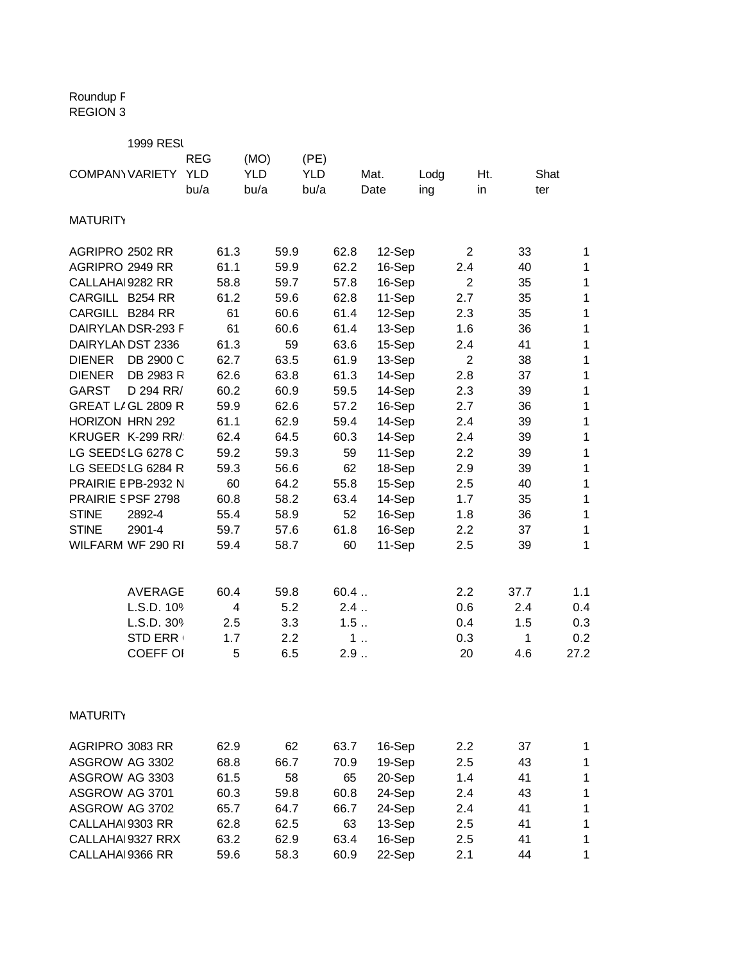## Roundup F REGION 3

|                        | <b>1999 RESI</b> |                    |      |                    |      |                    |      |              |             |                |      |             |
|------------------------|------------------|--------------------|------|--------------------|------|--------------------|------|--------------|-------------|----------------|------|-------------|
|                        |                  | <b>REG</b>         |      | (MO)               |      | (PE)               |      |              |             |                |      |             |
| <b>COMPANY VARIETY</b> |                  | <b>YLD</b><br>bu/a |      | <b>YLD</b><br>bu/a |      | <b>YLD</b><br>bu/a |      | Mat.<br>Date | Lodg<br>ing | Ht.<br>in      |      | Shat<br>ter |
|                        |                  |                    |      |                    |      |                    |      |              |             |                |      |             |
| <b>MATURITY</b>        |                  |                    |      |                    |      |                    |      |              |             |                |      |             |
| AGRIPRO 2502 RR        |                  |                    | 61.3 |                    | 59.9 |                    | 62.8 | 12-Sep       |             | $\overline{2}$ | 33   | $\mathbf 1$ |
| AGRIPRO 2949 RR        |                  |                    | 61.1 |                    | 59.9 |                    | 62.2 | 16-Sep       |             | 2.4            | 40   | 1           |
| CALLAHAI 9282 RR       |                  |                    | 58.8 |                    | 59.7 |                    | 57.8 | 16-Sep       |             | $\overline{2}$ | 35   | 1           |
| CARGILL B254 RR        |                  |                    | 61.2 |                    | 59.6 |                    | 62.8 | 11-Sep       |             | 2.7            | 35   | 1           |
| CARGILL B284 RR        |                  |                    | 61   |                    | 60.6 |                    | 61.4 | 12-Sep       |             | 2.3            | 35   | 1           |
| DAIRYLANDSR-293 F      |                  |                    | 61   |                    | 60.6 |                    | 61.4 | 13-Sep       |             | 1.6            | 36   | $\mathbf 1$ |
| DAIRYLANDST 2336       |                  |                    | 61.3 |                    | 59   |                    | 63.6 | 15-Sep       |             | 2.4            | 41   | $\mathbf 1$ |
| <b>DIENER</b>          | DB 2900 C        |                    | 62.7 |                    | 63.5 |                    | 61.9 | 13-Sep       |             | $\overline{2}$ | 38   | $\mathbf 1$ |
| <b>DIENER</b>          | DB 2983 R        |                    | 62.6 |                    | 63.8 |                    | 61.3 | 14-Sep       |             | 2.8            | 37   | $\mathbf 1$ |
| <b>GARST</b>           | D 294 RR/        |                    | 60.2 |                    | 60.9 |                    | 59.5 | 14-Sep       |             | 2.3            | 39   | $\mathbf 1$ |
| GREAT LIGL 2809 R      |                  |                    | 59.9 |                    | 62.6 |                    | 57.2 | 16-Sep       |             | 2.7            | 36   | $\mathbf 1$ |
| HORIZON HRN 292        |                  |                    | 61.1 |                    | 62.9 |                    | 59.4 | 14-Sep       |             | 2.4            | 39   | 1           |
| KRUGER K-299 RR/       |                  |                    | 62.4 |                    | 64.5 |                    | 60.3 | 14-Sep       |             | 2.4            | 39   | 1           |
| LG SEEDSLG 6278 C      |                  |                    | 59.2 |                    | 59.3 |                    | 59   | 11-Sep       |             | 2.2            | 39   | 1           |
| LG SEEDSLG 6284 R      |                  |                    | 59.3 |                    | 56.6 |                    | 62   | 18-Sep       |             | 2.9            | 39   | 1           |
| PRAIRIE E PB-2932 N    |                  |                    | 60   |                    | 64.2 |                    | 55.8 | 15-Sep       |             | 2.5            | 40   | $\mathbf 1$ |
| PRAIRIE SPSF 2798      |                  |                    | 60.8 |                    | 58.2 |                    | 63.4 | 14-Sep       |             | 1.7            | 35   | $\mathbf 1$ |
| <b>STINE</b>           | 2892-4           |                    | 55.4 |                    | 58.9 |                    | 52   | 16-Sep       |             | 1.8            | 36   | $\mathbf 1$ |
| <b>STINE</b>           | 2901-4           |                    | 59.7 |                    | 57.6 |                    | 61.8 | 16-Sep       |             | 2.2            | 37   | $\mathbf 1$ |
| WILFARM WF 290 RI      |                  |                    | 59.4 |                    | 58.7 |                    | 60   | 11-Sep       |             | 2.5            | 39   | 1           |
|                        |                  |                    |      |                    |      |                    |      |              |             |                |      |             |
|                        | <b>AVERAGE</b>   |                    | 60.4 |                    | 59.8 |                    | 60.4 |              |             | 2.2            | 37.7 | 1.1         |
|                        | L.S.D. 109       |                    | 4    |                    | 5.2  |                    | 2.4  |              |             | 0.6            | 2.4  | 0.4         |
|                        | L.S.D. 309       |                    | 2.5  |                    | 3.3  |                    | 1.5  |              |             | 0.4            | 1.5  | 0.3         |
|                        | <b>STD ERR</b>   |                    | 1.7  |                    | 2.2  |                    |      | 1            |             | 0.3            | 1    | 0.2         |
|                        | <b>COEFF OI</b>  |                    | 5    |                    | 6.5  |                    | 2.9  |              |             | 20             | 4.6  | 27.2        |
| <b>MATURITY</b>        |                  |                    |      |                    |      |                    |      |              |             |                |      |             |
|                        |                  |                    |      |                    |      |                    |      |              |             |                |      |             |
| AGRIPRO 3083 RR        |                  |                    | 62.9 |                    | 62   |                    | 63.7 | 16-Sep       |             | 2.2            | 37   | 1           |
| ASGROW AG 3302         |                  |                    | 68.8 |                    | 66.7 |                    | 70.9 | 19-Sep       |             | 2.5            | 43   | 1           |
| ASGROW AG 3303         |                  |                    | 61.5 |                    | 58   |                    | 65   | 20-Sep       |             | 1.4            | 41   | 1           |
| ASGROW AG 3701         |                  |                    | 60.3 |                    | 59.8 |                    | 60.8 | 24-Sep       |             | 2.4            | 43   | 1           |
| ASGROW AG 3702         |                  |                    | 65.7 |                    | 64.7 |                    | 66.7 | 24-Sep       |             | 2.4            | 41   | 1           |
| CALLAHAI 9303 RR       |                  |                    | 62.8 |                    | 62.5 |                    | 63   | 13-Sep       |             | $2.5\,$        | 41   | 1           |
| CALLAHAI 9327 RRX      |                  |                    | 63.2 |                    | 62.9 |                    | 63.4 | 16-Sep       |             | 2.5            | 41   | 1           |
| CALLAHAI 9366 RR       |                  |                    | 59.6 |                    | 58.3 |                    | 60.9 | 22-Sep       |             | 2.1            | 44   | 1           |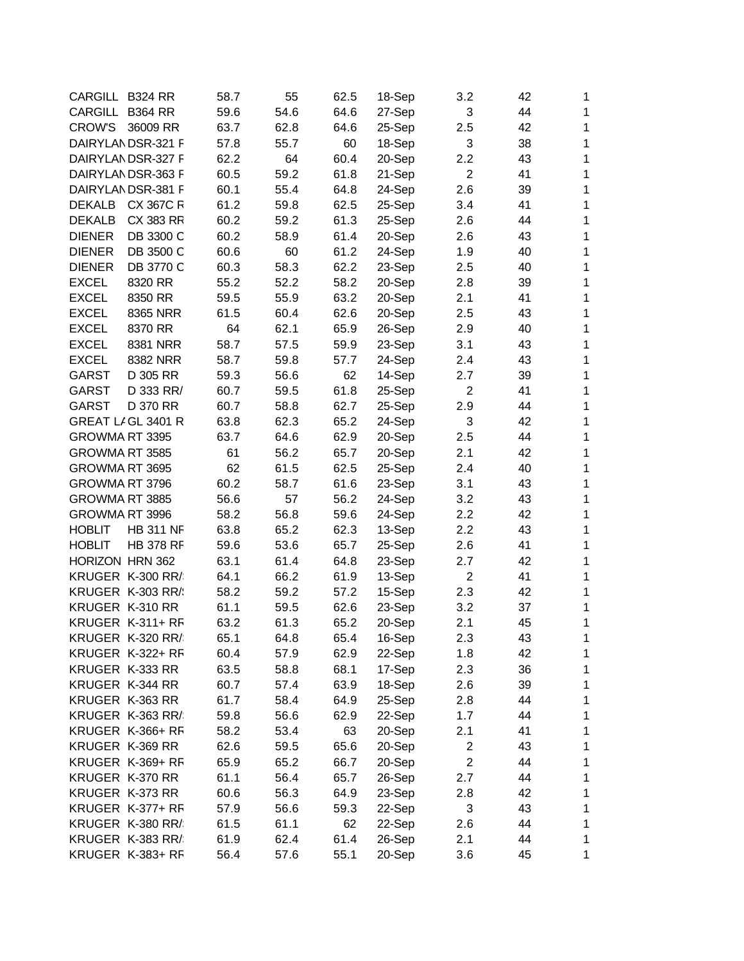| CARGILL B324 RR |                   | 58.7 | 55   | 62.5 | 18-Sep           | 3.2            | 42 | 1            |
|-----------------|-------------------|------|------|------|------------------|----------------|----|--------------|
| CARGILL B364 RR |                   | 59.6 | 54.6 | 64.6 | 27-Sep           | 3              | 44 | $\mathbf{1}$ |
| <b>CROW'S</b>   | 36009 RR          | 63.7 | 62.8 | 64.6 | 25-Sep           | 2.5            | 42 | $\mathbf{1}$ |
|                 | DAIRYLANDSR-321 F | 57.8 | 55.7 | 60   | 18-Sep           | 3              | 38 | $\mathbf{1}$ |
|                 | DAIRYLANDSR-327 F | 62.2 | 64   | 60.4 | 20-Sep           | 2.2            | 43 | 1            |
|                 | DAIRYLANDSR-363 F | 60.5 | 59.2 | 61.8 | 21-Sep           | $\overline{2}$ | 41 | 1            |
|                 | DAIRYLANDSR-381 F | 60.1 | 55.4 | 64.8 | 24-Sep           | 2.6            | 39 | $\mathbf{1}$ |
| <b>DEKALB</b>   | CX 367C R         | 61.2 | 59.8 | 62.5 | 25-Sep           | 3.4            | 41 | $\mathbf{1}$ |
| <b>DEKALB</b>   | CX 383 RR         | 60.2 | 59.2 | 61.3 | 25-Sep           | 2.6            | 44 | $\mathbf{1}$ |
| <b>DIENER</b>   | DB 3300 C         | 60.2 | 58.9 | 61.4 | 20-Sep           | 2.6            | 43 | $\mathbf{1}$ |
| <b>DIENER</b>   | DB 3500 C         | 60.6 | 60   | 61.2 | 24-Sep           | 1.9            | 40 | $\mathbf{1}$ |
| <b>DIENER</b>   | DB 3770 C         | 60.3 | 58.3 | 62.2 | 23-Sep           | 2.5            | 40 | $\mathbf{1}$ |
| <b>EXCEL</b>    | 8320 RR           | 55.2 | 52.2 | 58.2 | 20-Sep           | 2.8            | 39 | 1            |
| <b>EXCEL</b>    | 8350 RR           | 59.5 | 55.9 | 63.2 | 20-Sep           | 2.1            | 41 | 1            |
| <b>EXCEL</b>    | 8365 NRR          | 61.5 | 60.4 | 62.6 | 20-Sep           | 2.5            | 43 | 1            |
| <b>EXCEL</b>    | 8370 RR           | 64   | 62.1 | 65.9 | 26-Sep           | 2.9            | 40 | $\mathbf{1}$ |
| <b>EXCEL</b>    | 8381 NRR          | 58.7 | 57.5 | 59.9 | 23-Sep           | 3.1            | 43 | $\mathbf{1}$ |
| <b>EXCEL</b>    | 8382 NRR          | 58.7 | 59.8 | 57.7 | 24-Sep           | 2.4            | 43 | $\mathbf{1}$ |
| <b>GARST</b>    | D 305 RR          | 59.3 | 56.6 | 62   | 14-Sep           | 2.7            | 39 | $\mathbf{1}$ |
| <b>GARST</b>    | D 333 RR/         | 60.7 | 59.5 | 61.8 | 25-Sep           | $\overline{2}$ | 41 | $\mathbf{1}$ |
| <b>GARST</b>    | D 370 RR          | 60.7 | 58.8 | 62.7 | 25-Sep           | 2.9            | 44 | 1            |
|                 | GREAT LIGL 3401 R | 63.8 | 62.3 | 65.2 | 24-Sep           | 3              | 42 | 1            |
| GROWMA RT 3395  |                   | 63.7 | 64.6 | 62.9 | 20-Sep           | 2.5            | 44 | 1            |
| GROWMA RT 3585  |                   | 61   | 56.2 | 65.7 | 20-Sep           | 2.1            | 42 | $\mathbf{1}$ |
| GROWMA RT 3695  |                   | 62   | 61.5 | 62.5 | 25-Sep           | 2.4            | 40 | $\mathbf{1}$ |
| GROWMA RT 3796  |                   | 60.2 | 58.7 | 61.6 | 23-Sep           | 3.1            | 43 | $\mathbf{1}$ |
| GROWMA RT 3885  |                   | 56.6 | 57   | 56.2 | 24-Sep           | 3.2            | 43 | $\mathbf{1}$ |
| GROWMA RT 3996  |                   | 58.2 | 56.8 | 59.6 |                  | 2.2            | 42 | $\mathbf{1}$ |
| <b>HOBLIT</b>   | <b>HB 311 NF</b>  | 63.8 | 65.2 | 62.3 | 24-Sep<br>13-Sep |                | 43 | 1            |
| <b>HOBLIT</b>   | <b>HB 378 RF</b>  |      |      | 65.7 |                  | 2.2<br>2.6     | 41 | 1            |
|                 |                   | 59.6 | 53.6 |      | 25-Sep           |                |    |              |
| HORIZON HRN 362 |                   | 63.1 | 61.4 | 64.8 | 23-Sep           | 2.7            | 42 | 1            |
|                 | KRUGER K-300 RR/  | 64.1 | 66.2 | 61.9 | 13-Sep           | $\overline{2}$ | 41 | 1            |
|                 | KRUGER K-303 RR/  | 58.2 | 59.2 | 57.2 | 15-Sep           | 2.3            | 42 | $\mathbf{1}$ |
| KRUGER K-310 RR |                   | 61.1 | 59.5 | 62.6 | 23-Sep           | 3.2            | 37 | $\mathbf{1}$ |
|                 | KRUGER K-311+ RF  | 63.2 | 61.3 | 65.2 | 20-Sep           | 2.1            | 45 | $\mathbf{1}$ |
|                 | KRUGER K-320 RR/  | 65.1 | 64.8 | 65.4 | 16-Sep           | 2.3            | 43 | $\mathbf{1}$ |
|                 | KRUGER K-322+ RF  | 60.4 | 57.9 | 62.9 | 22-Sep           | 1.8            | 42 | 1            |
| KRUGER K-333 RR |                   | 63.5 | 58.8 | 68.1 | 17-Sep           | 2.3            | 36 | $\mathbf{1}$ |
| KRUGER K-344 RR |                   | 60.7 | 57.4 | 63.9 | 18-Sep           | 2.6            | 39 | $\mathbf{1}$ |
| KRUGER K-363 RR |                   | 61.7 | 58.4 | 64.9 | 25-Sep           | 2.8            | 44 | $\mathbf{1}$ |
|                 | KRUGER K-363 RR/  | 59.8 | 56.6 | 62.9 | 22-Sep           | 1.7            | 44 | $\mathbf{1}$ |
|                 | KRUGER K-366+ RF  | 58.2 | 53.4 | 63   | 20-Sep           | 2.1            | 41 | $\mathbf{1}$ |
|                 | KRUGER K-369 RR   | 62.6 | 59.5 | 65.6 | 20-Sep           | $\overline{2}$ | 43 | $\mathbf 1$  |
|                 | KRUGER K-369+ RF  | 65.9 | 65.2 | 66.7 | 20-Sep           | $\overline{2}$ | 44 | $\mathbf{1}$ |
| KRUGER K-370 RR |                   | 61.1 | 56.4 | 65.7 | 26-Sep           | 2.7            | 44 | $\mathbf{1}$ |
| KRUGER K-373 RR |                   | 60.6 | 56.3 | 64.9 | 23-Sep           | 2.8            | 42 | $\mathbf{1}$ |
|                 | KRUGER K-377+ RF  | 57.9 | 56.6 | 59.3 | 22-Sep           | 3              | 43 | $\mathbf{1}$ |
|                 | KRUGER K-380 RR/  | 61.5 | 61.1 | 62   | 22-Sep           | 2.6            | 44 | $\mathbf{1}$ |
|                 | KRUGER K-383 RR/  | 61.9 | 62.4 | 61.4 | 26-Sep           | 2.1            | 44 | $\mathbf{1}$ |
|                 | KRUGER K-383+ RF  | 56.4 | 57.6 | 55.1 | 20-Sep           | 3.6            | 45 | $\mathbf{1}$ |
|                 |                   |      |      |      |                  |                |    |              |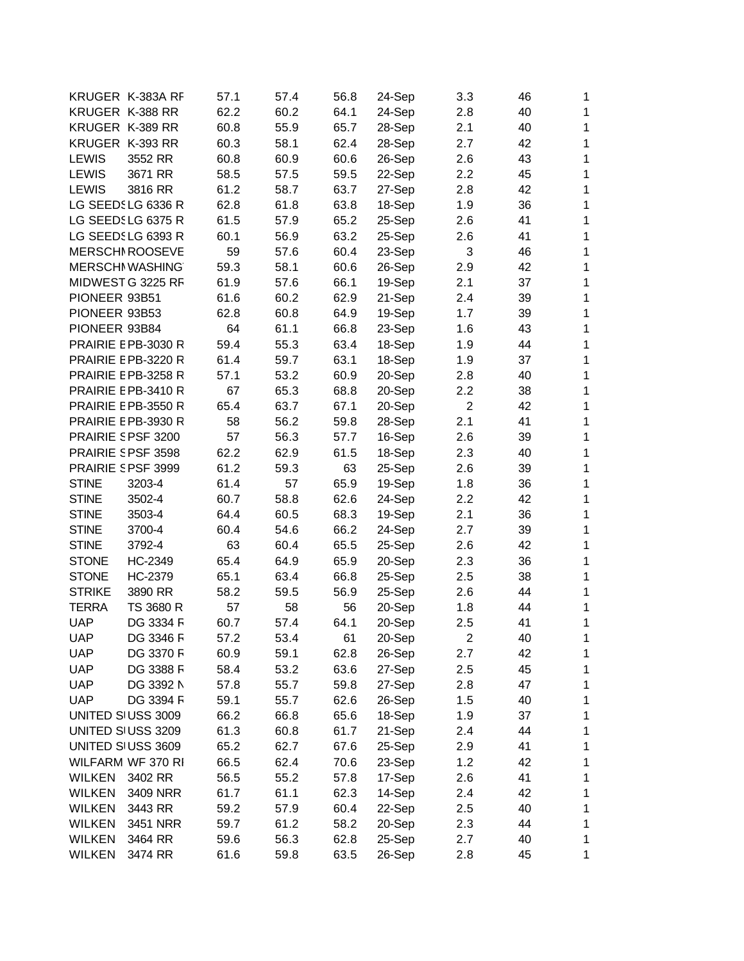|               | KRUGER K-383A RF       | 57.1 | 57.4 | 56.8 | 24-Sep | 3.3            | 46 | 1            |
|---------------|------------------------|------|------|------|--------|----------------|----|--------------|
|               | KRUGER K-388 RR        | 62.2 | 60.2 | 64.1 | 24-Sep | 2.8            | 40 | $\mathbf{1}$ |
|               | KRUGER K-389 RR        | 60.8 | 55.9 | 65.7 | 28-Sep | 2.1            | 40 | $\mathbf{1}$ |
|               | KRUGER K-393 RR        | 60.3 | 58.1 | 62.4 | 28-Sep | 2.7            | 42 | $\mathbf{1}$ |
| <b>LEWIS</b>  | 3552 RR                | 60.8 | 60.9 | 60.6 | 26-Sep | 2.6            | 43 | 1            |
| <b>LEWIS</b>  | 3671 RR                | 58.5 | 57.5 | 59.5 | 22-Sep | 2.2            | 45 | 1            |
| <b>LEWIS</b>  | 3816 RR                | 61.2 | 58.7 | 63.7 | 27-Sep | 2.8            | 42 | 1            |
|               | LG SEEDSLG 6336 R      | 62.8 | 61.8 | 63.8 | 18-Sep | 1.9            | 36 | $\mathbf{1}$ |
|               | LG SEEDSLG 6375 R      | 61.5 | 57.9 | 65.2 | 25-Sep | 2.6            | 41 | $\mathbf{1}$ |
|               | LG SEEDSLG 6393 R      | 60.1 | 56.9 | 63.2 | 25-Sep | 2.6            | 41 | $\mathbf{1}$ |
|               | <b>MERSCHI ROOSEVE</b> | 59   | 57.6 | 60.4 | 23-Sep | 3              | 46 | $\mathbf{1}$ |
|               | <b>MERSCHI WASHING</b> | 59.3 | 58.1 | 60.6 | 26-Sep | 2.9            | 42 | $\mathbf{1}$ |
|               | MIDWEST G 3225 RF      | 61.9 | 57.6 | 66.1 | 19-Sep | 2.1            | 37 | 1            |
| PIONEER 93B51 |                        | 61.6 | 60.2 | 62.9 | 21-Sep | 2.4            | 39 | 1            |
| PIONEER 93B53 |                        | 62.8 | 60.8 | 64.9 | 19-Sep | 1.7            | 39 | 1            |
| PIONEER 93B84 |                        | 64   | 61.1 | 66.8 | 23-Sep | 1.6            | 43 | $\mathbf{1}$ |
|               | PRAIRIE E PB-3030 R    | 59.4 | 55.3 | 63.4 | 18-Sep | 1.9            | 44 | $\mathbf{1}$ |
|               | PRAIRIE E PB-3220 R    | 61.4 | 59.7 | 63.1 | 18-Sep | 1.9            | 37 | $\mathbf{1}$ |
|               | PRAIRIE E PB-3258 R    | 57.1 | 53.2 | 60.9 | 20-Sep | 2.8            | 40 | $\mathbf{1}$ |
|               | PRAIRIE E PB-3410 R    | 67   | 65.3 | 68.8 | 20-Sep | 2.2            | 38 | $\mathbf{1}$ |
|               | PRAIRIE E PB-3550 R    | 65.4 | 63.7 | 67.1 | 20-Sep | $\overline{2}$ | 42 | 1            |
|               | PRAIRIE E PB-3930 R    | 58   | 56.2 | 59.8 | 28-Sep | 2.1            | 41 | 1            |
|               | PRAIRIE SPSF 3200      | 57   | 56.3 | 57.7 | 16-Sep | 2.6            | 39 | 1            |
|               | PRAIRIE SPSF 3598      | 62.2 | 62.9 | 61.5 | 18-Sep | 2.3            | 40 | $\mathbf{1}$ |
|               | PRAIRIE SPSF 3999      | 61.2 | 59.3 | 63   | 25-Sep | 2.6            | 39 | $\mathbf{1}$ |
| <b>STINE</b>  | 3203-4                 | 61.4 | 57   | 65.9 | 19-Sep | 1.8            | 36 | $\mathbf{1}$ |
| <b>STINE</b>  | 3502-4                 | 60.7 | 58.8 | 62.6 | 24-Sep | 2.2            | 42 | $\mathbf{1}$ |
| <b>STINE</b>  | 3503-4                 | 64.4 | 60.5 | 68.3 | 19-Sep | 2.1            | 36 | $\mathbf{1}$ |
| <b>STINE</b>  | 3700-4                 | 60.4 | 54.6 | 66.2 | 24-Sep | 2.7            | 39 | 1            |
| <b>STINE</b>  | 3792-4                 | 63   | 60.4 | 65.5 | 25-Sep | 2.6            | 42 | 1            |
| <b>STONE</b>  | HC-2349                | 65.4 | 64.9 | 65.9 | 20-Sep | 2.3            | 36 | 1            |
| <b>STONE</b>  | HC-2379                | 65.1 | 63.4 | 66.8 | 25-Sep | 2.5            | 38 | 1            |
| <b>STRIKE</b> | 3890 RR                | 58.2 | 59.5 | 56.9 | 25-Sep | 2.6            | 44 | $\mathbf{1}$ |
| <b>TERRA</b>  | TS 3680 R              | 57   | 58   | 56   | 20-Sep | 1.8            | 44 | $\mathbf{1}$ |
| <b>UAP</b>    | DG 3334 F              | 60.7 | 57.4 | 64.1 | 20-Sep | 2.5            | 41 | $\mathbf{1}$ |
| <b>UAP</b>    | DG 3346 F              | 57.2 | 53.4 | 61   | 20-Sep | 2              | 40 | $\mathbf{1}$ |
| <b>UAP</b>    | DG 3370 F              | 60.9 | 59.1 | 62.8 | 26-Sep | 2.7            | 42 | 1            |
| <b>UAP</b>    | DG 3388 F              | 58.4 | 53.2 | 63.6 | 27-Sep | 2.5            | 45 | $\mathbf 1$  |
| <b>UAP</b>    | DG 3392 N              | 57.8 | 55.7 | 59.8 | 27-Sep | 2.8            | 47 | $\mathbf{1}$ |
| <b>UAP</b>    | DG 3394 F              | 59.1 | 55.7 | 62.6 | 26-Sep | 1.5            | 40 | $\mathbf{1}$ |
|               | UNITED SIUSS 3009      |      | 66.8 |      |        |                | 37 | $\mathbf 1$  |
|               |                        | 66.2 |      | 65.6 | 18-Sep | 1.9            | 44 | $\mathbf{1}$ |
|               | UNITED SIUSS 3209      | 61.3 | 60.8 | 61.7 | 21-Sep | 2.4            |    |              |
|               | UNITED SIUSS 3609      | 65.2 | 62.7 | 67.6 | 25-Sep | 2.9            | 41 | $\mathbf{1}$ |
|               | WILFARM WF 370 RI      | 66.5 | 62.4 | 70.6 | 23-Sep | 1.2            | 42 | $\mathbf{1}$ |
| <b>WILKEN</b> | 3402 RR                | 56.5 | 55.2 | 57.8 | 17-Sep | 2.6            | 41 | $\mathbf{1}$ |
| <b>WILKEN</b> | 3409 NRR               | 61.7 | 61.1 | 62.3 | 14-Sep | 2.4            | 42 | $\mathbf{1}$ |
| <b>WILKEN</b> | 3443 RR                | 59.2 | 57.9 | 60.4 | 22-Sep | 2.5            | 40 | $\mathbf 1$  |
| <b>WILKEN</b> | 3451 NRR               | 59.7 | 61.2 | 58.2 | 20-Sep | 2.3            | 44 | $\mathbf 1$  |
| <b>WILKEN</b> | 3464 RR                | 59.6 | 56.3 | 62.8 | 25-Sep | 2.7            | 40 | $\mathbf{1}$ |
| <b>WILKEN</b> | 3474 RR                | 61.6 | 59.8 | 63.5 | 26-Sep | 2.8            | 45 | $\mathbf{1}$ |